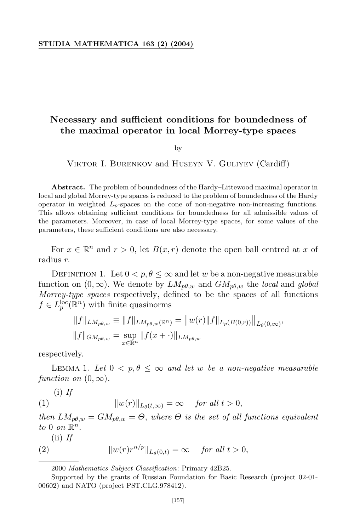## **STUDIA MATHEMATICA 163 (2) (2004)**

## **Necessary and sufficient conditions for boundedness of the maximal operator in local Morrey-type spaces**

by

VIKTOR I. BURENKOV and HUSEYN V. GULIYEV (Cardiff)

**Abstract.** The problem of boundedness of the Hardy–Littewood maximal operator in local and global Morrey-type spaces is reduced to the problem of boundedness of the Hardy operator in weighted *Lp*-spaces on the cone of non-negative non-increasing functions. This allows obtaining sufficient conditions for boundedness for all admissible values of the parameters. Moreover, in case of local Morrey-type spaces, for some values of the parameters, these sufficient conditions are also necessary.

For  $x \in \mathbb{R}^n$  and  $r > 0$ , let  $B(x, r)$  denote the open ball centred at x of radius *r.*

DEFINITION 1. Let  $0 < p, \theta \leq \infty$  and let *w* be a non-negative measurable function on  $(0, \infty)$ . We denote by  $LM_{p\theta,w}$  and  $GM_{p\theta,w}$  the *local* and *global Morrey-type spaces* respectively, defined to be the spaces of all functions  $f \in L_p^{\text{loc}}(\mathbb{R}^n)$  with finite quasinorms

$$
||f||_{LM_{p\theta,w}} \equiv ||f||_{LM_{p\theta,w}(\mathbb{R}^n)} = ||w(r)||f||_{L_p(B(0,r))}||_{L_{\theta}(0,\infty)},
$$
  

$$
||f||_{GM_{p\theta,w}} = \sup_{x \in \mathbb{R}^n} ||f(x+\cdot)||_{LM_{p\theta,w}}
$$

respectively.

LEMMA 1. Let  $0 < p, \theta \leq \infty$  and let w be a non-negative measurable *function on*  $(0, \infty)$ *.* 

$$
\text{(i) } If
$$
\n
$$
\|w(r)\|_{L_{\theta}(t,\infty)} = \infty \quad \text{ for all } t > 0,
$$

*then*  $LM_{p\theta,w} = GM_{p\theta,w} = \Theta$ , where  $\Theta$  *is the set of all functions equivalent to* 0 *on*  $\mathbb{R}^n$ .

(ii) *If*

(2) 
$$
||w(r)r^{n/p}||_{L_{\theta}(0,t)} = \infty \quad \text{for all } t > 0,
$$

<sup>2000</sup> *Mathematics Subject Classification*: Primary 42B25.

Supported by the grants of Russian Foundation for Basic Research (project 02-01- 00602) and NATO (project PST.CLG.978412).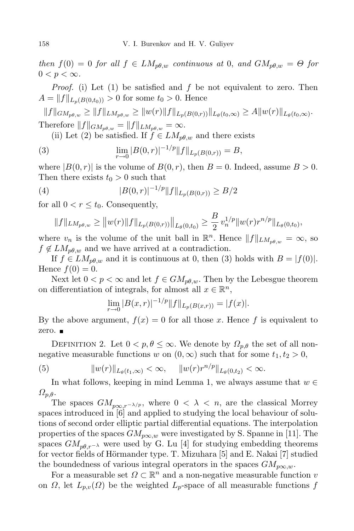$then f(0) = 0$  *for* all  $f \in LM_{p\theta,w}$  *continuous* at 0*,* and  $GM_{p\theta,w} = \Theta$  *for*  $0 < p < \infty$ .

*Proof.* (i) Let (1) be satisfied and *f* be not equivalent to zero. Then  $A = ||f||_{L_p(B(0,t_0))} > 0$  for some  $t_0 > 0$ . Hence

 $||f||_{GM_{p\theta,w}} \geq ||f||_{LM_{p\theta,w}} \geq ||w(r)||f||_{L_p(B(0,r))}||_{L_{\theta}(t_0,\infty)} \geq A||w(r)||_{L_{\theta}(t_0,\infty)}.$ Therefore  $||f||_{GM_{p\theta,w}} = ||f||_{LM_{p\theta,w}} = \infty$ .

(ii) Let (2) be satisfied. If  $f \in LM_{p\theta,w}$  and there exists

(3) 
$$
\lim_{r \to 0} |B(0,r)|^{-1/p} ||f||_{L_p(B(0,r))} = B,
$$

where  $|B(0, r)|$  is the volume of  $B(0, r)$ , then  $B = 0$ . Indeed, assume  $B > 0$ . Then there exists  $t_0 > 0$  such that

(4) 
$$
|B(0,r)|^{-1/p}||f||_{L_p(B(0,r))} \geq B/2
$$

for all  $0 < r \leq t_0$ . Consequently,

$$
||f||_{LM_{p\theta,w}} \ge ||w(r)||f||_{L_p(B(0,r))}||_{L_{\theta}(0,t_0)} \ge \frac{B}{2} v_n^{1/p} ||w(r)r^{n/p}||_{L_{\theta}(0,t_0)},
$$

where  $v_n$  is the volume of the unit ball in  $\mathbb{R}^n$ . Hence  $||f||_{LM_{p\theta,w}} = \infty$ , so  $f \notin LM_{p\theta,w}$  and we have arrived at a contradiction.

If  $f \in LM_{p\theta,w}$  and it is continuous at 0, then (3) holds with  $B = |f(0)|$ . Hence  $f(0) = 0$ .

Next let  $0 < p < \infty$  and let  $f \in GM_{p\theta,w}$ . Then by the Lebesgue theorem on differentiation of integrals, for almost all  $x \in \mathbb{R}^n$ ,

$$
\lim_{r \to 0} |B(x,r)|^{-1/p} ||f||_{L_p(B(x,r))} = |f(x)|.
$$

By the above argument,  $f(x) = 0$  for all those x. Hence f is equivalent to zero. ■

DEFINITION 2. Let  $0 < p, \theta \leq \infty$ . We denote by  $\Omega_{p,\theta}$  the set of all nonnegative measurable functions *w* on  $(0, \infty)$  such that for some  $t_1, t_2 > 0$ ,

(5) 
$$
||w(r)||_{L_{\theta}(t_1,\infty)} < \infty, \quad ||w(r)r^{n/p}||_{L_{\theta}(0,t_2)} < \infty.
$$

In what follows, keeping in mind Lemma 1, we always assume that  $w \in$ *Ωp,θ*.

The spaces  $GM_{p\infty, r-\lambda/p}$ , where  $0 < \lambda < n$ , are the classical Morrey spaces introduced in [6] and applied to studying the local behaviour of solutions of second order elliptic partial differential equations. The interpolation properties of the spaces  $GM_{p\infty,w}$  were investigated by S. Spanne in [11]. The spaces  $GM_{p\theta,r-\lambda}$  were used by G. Lu [4] for studying embedding theorems for vector fields of Hörmander type. T. Mizuhara [5] and E. Nakai [7] studied the boundedness of various integral operators in the spaces  $GM_{p\infty,w}$ .

For a measurable set  $\Omega \subset \mathbb{R}^n$  and a non-negative measurable function *v* on *Ω*, let  $L_{p,\nu}(\Omega)$  be the weighted  $L_p$ -space of all measurable functions *f*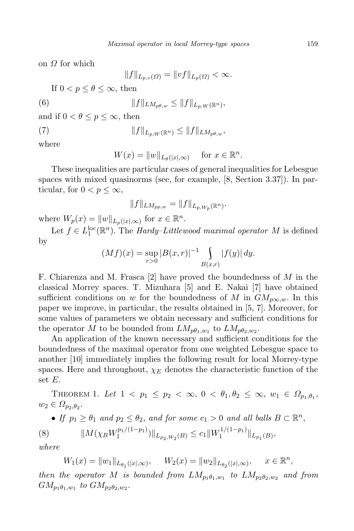on *Ω* for which

$$
||f||_{L_{p,v}(\Omega)} = ||vf||_{L_p(\Omega)} < \infty.
$$

If  $0 < p < \theta < \infty$ , then

(6) 
$$
||f||_{LM_{p\theta,w}} \leq ||f||_{L_{p,W}(\mathbb{R}^n)},
$$

and if  $0 < \theta \leq p \leq \infty$ , then

$$
||f||_{L_{p,W}(\mathbb{R}^n)} \leq ||f||_{LM_{p\theta,w}},
$$

where

$$
W(x) = ||w||_{L_{\theta}(|x|,\infty)} \quad \text{ for } x \in \mathbb{R}^n.
$$

These inequalities are particular cases of general inequalities for Lebesgue spaces with mixed quasinorms (see, for example, [8, Section 3.37]). In particular, for  $0 < p \leq \infty$ ,

$$
||f||_{LM_{pp,w}} = ||f||_{L_{p,W_p}(\mathbb{R}^n)}.
$$

where  $W_p(x) = ||w||_{L_p(|x|,\infty)}$  for  $x \in \mathbb{R}^n$ .

Let  $f \in L_1^{\text{loc}}(\mathbb{R}^n)$ . The *Hardy–Littlewood maximal operator M* is defined by

$$
(Mf)(x) = \sup_{r>0} |B(x,r)|^{-1} \int_{B(x,r)} |f(y)| \, dy.
$$

F. Chiarenza and M. Frasca [2] have proved the boundedness of *M* in the classical Morrey spaces. T. Mizuhara [5] and E. Nakai [7] have obtained sufficient conditions on *w* for the boundedness of *M* in  $GM_{p\infty,w}$ . In this paper we improve, in particular, the results obtained in [5, 7]. Moreover, for some values of parameters we obtain necessary and sufficient conditions for the operator *M* to be bounded from  $LM_{p\theta_1,w_1}$  to  $LM_{p\theta_2,w_2}$ .

An application of the known necessary and sufficient conditions for the boundedness of the maximal operator from one weighted Lebesgue space to another [10] immediately implies the following result for local Morrey-type spaces. Here and throughout,  $\chi_E$  denotes the characteristic function of the set *E*.

THEOREM 1. Let  $1 < p_1 \leq p_2 < \infty$ ,  $0 < \theta_1, \theta_2 \leq \infty$ ,  $w_1 \in \Omega_{p_1, \theta_1}$ ,  $w_2 \in \Omega_{p_2,\theta_2}$ 

• If 
$$
p_1 \geq \theta_1
$$
 and  $p_2 \leq \theta_2$ , and for some  $c_1 > 0$  and all balls  $B \subset \mathbb{R}^n$ ,

(8) 
$$
||M(\chi_B W_1^{p_1/(1-p_1)})||_{L_{p_2,W_2}(B)} \leq c_1 ||W_1^{1/(1-p_1)}||_{L_{p_1}(B)},
$$

*where*

$$
W_1(x) = \|w_1\|_{L_{\theta_1}(|x|,\infty)}, \quad W_2(x) = \|w_2\|_{L_{\theta_2}(|x|,\infty)}, \quad x \in \mathbb{R}^n,
$$

*then the operator M is bounded from*  $LM_{p_1}\theta_1,w_1$  *to*  $LM_{p_2}\theta_2,w_2$  *and from*  $GM_{p_1\theta_1,w_1}$  *to*  $GM_{p_2\theta_2,w_2}$ .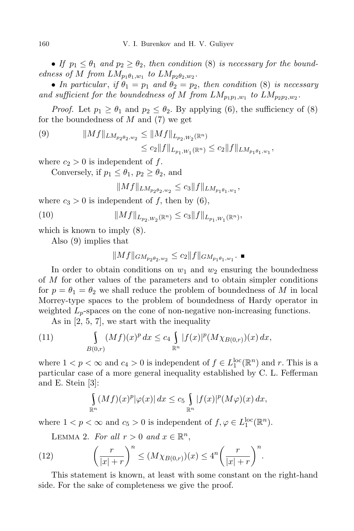• *If*  $p_1 \leq \theta_1$  *and*  $p_2 \geq \theta_2$ *, then condition* (8) *is necessary for the boundedness of M from*  $LM_{p_1\theta_1,w_1}$  *to*  $LM_{p_2\theta_2,w_2}$ *.* 

• *In particular, if*  $\theta_1 = p_1$  *and*  $\theta_2 = p_2$ *, then condition* (8) *is necessary* and sufficient for the boundedness of M from  $LM_{p_1p_1,w_1}$  to  $LM_{p_2p_2,w_2}$ .

*Proof.* Let  $p_1 \geq \theta_1$  and  $p_2 \leq \theta_2$ . By applying (6), the sufficiency of (8) for the boundedness of *M* and (7) we get

(9) 
$$
||Mf||_{LM_{p_2\theta_2,w_2}} \leq ||Mf||_{L_{p_2,W_2}(\mathbb{R}^n)}
$$

$$
\leq c_2 ||f||_{L_{p_1,W_1}(\mathbb{R}^n)} \leq c_2 ||f||_{LM_{p_1\theta_1,w_1}},
$$

where  $c_2 > 0$  is independent of f.

Conversely, if  $p_1 < \theta_1$ ,  $p_2 > \theta_2$ , and

$$
||Mf||_{LM_{p_2\theta_2,w_2}} \leq c_3||f||_{LM_{p_1\theta_1,w_1}},
$$

where  $c_3 > 0$  is independent of f, then by (6),

(10) 
$$
||Mf||_{L_{p_2,W_2}(\mathbb{R}^n)} \leq c_3 ||f||_{L_{p_1,W_1}(\mathbb{R}^n)},
$$

which is known to imply (8).

Also (9) implies that

$$
||Mf||_{GM_{p_2\theta_2,w_2}} \le c_2 ||f||_{GM_{p_1\theta_1,w_1}} \cdot \blacksquare
$$

In order to obtain conditions on  $w_1$  and  $w_2$  ensuring the boundedness of *M* for other values of the parameters and to obtain simpler conditions for  $p = \theta_1 = \theta_2$  we shall reduce the problem of boundedness of M in local Morrey-type spaces to the problem of boundedness of Hardy operator in weighted  $L_p$ -spaces on the cone of non-negative non-increasing functions.

As in [2, 5, 7], we start with the inequality

(11) 
$$
\int_{B(0,r)} (Mf)(x)^p dx \le c_4 \int_{\mathbb{R}^n} |f(x)|^p (M \chi_{B(0,r)})(x) dx,
$$

where  $1 < p < \infty$  and  $c_4 > 0$  is independent of  $f \in L_1^{\text{loc}}(\mathbb{R}^n)$  and *r*. This is a particular case of a more general inequality established by C. L. Fefferman and E. Stein [3]:

$$
\int_{\mathbb{R}^n} (Mf)(x)^p |\varphi(x)| dx \leq c_5 \int_{\mathbb{R}^n} |f(x)|^p (M\varphi)(x) dx,
$$

where  $1 < p < \infty$  and  $c_5 > 0$  is independent of  $f, \varphi \in L_1^{\text{loc}}(\mathbb{R}^n)$ .

LEMMA 2. *For all*  $r > 0$  *and*  $x \in \mathbb{R}^n$ ,

(12) 
$$
\left(\frac{r}{|x|+r}\right)^n \leq (M\chi_{B(0,r)})(x) \leq 4^n \left(\frac{r}{|x|+r}\right)^n.
$$

This statement is known, at least with some constant on the right-hand side. For the sake of completeness we give the proof.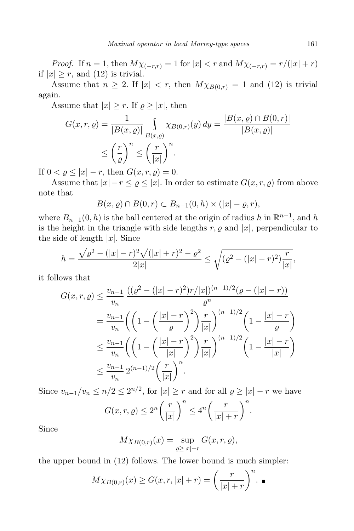*Proof.* If  $n = 1$ , then  $M\chi_{(-r,r)} = 1$  for  $|x| < r$  and  $M\chi_{(-r,r)} = r/(|x| + r)$ if  $|x| \geq r$ , and (12) is trivial.

Assume that  $n \geq 2$ . If  $|x| < r$ , then  $M\chi_{B(0,r)} = 1$  and (12) is trivial again.

Assume that  $|x| \geq r$ . If  $\varrho \geq |x|$ , then

$$
G(x, r, \varrho) = \frac{1}{|B(x, \varrho)|} \int_{B(x, \varrho)} \chi_{B(0, r)}(y) dy = \frac{|B(x, \varrho) \cap B(0, r)|}{|B(x, \varrho)|}
$$
  

$$
\leq \left(\frac{r}{\varrho}\right)^n \leq \left(\frac{r}{|x|}\right)^n.
$$

If  $0 < \rho \leq |x| - r$ , then  $G(x, r, \rho) = 0$ .

Assume that  $|x| - r \leq \varrho \leq |x|$ . In order to estimate  $G(x, r, \varrho)$  from above note that

$$
B(x, \varrho) \cap B(0, r) \subset B_{n-1}(0, h) \times (|x| - \varrho, r),
$$

where  $B_{n-1}(0, h)$  is the ball centered at the origin of radius *h* in  $\mathbb{R}^{n-1}$ , and *h* is the height in the triangle with side lengths  $r, \varrho$  and  $|x|$ , perpendicular to the side of length  $|x|$ . Since

$$
h = \frac{\sqrt{\varrho^2 - (|x| - r)^2} \sqrt{(|x| + r)^2 - \varrho^2}}{2|x|} \le \sqrt{(\varrho^2 - (|x| - r)^2) \frac{r}{|x|}},
$$

it follows that

$$
G(x, r, \rho) \leq \frac{v_{n-1}}{v_n} \frac{((\rho^2 - (|x| - r)^2)r/|x|)^{(n-1)/2}(\rho - (|x| - r))}{\rho^n}
$$
  
=  $\frac{v_{n-1}}{v_n} \left( \left( 1 - \left( \frac{|x| - r}{\rho} \right)^2 \right) \frac{r}{|x|} \right)^{(n-1)/2} \left( 1 - \frac{|x| - r}{\rho} \right)$   
 $\leq \frac{v_{n-1}}{v_n} \left( \left( 1 - \left( \frac{|x| - r}{|x|} \right)^2 \right) \frac{r}{|x|} \right)^{(n-1)/2} \left( 1 - \frac{|x| - r}{|x|} \right)$   
 $\leq \frac{v_{n-1}}{v_n} 2^{(n-1)/2} \left( \frac{r}{|x|} \right)^n.$ 

Since  $v_{n-1}/v_n \le n/2 \le 2^{n/2}$ , for  $|x| \ge r$  and for all  $\varrho \ge |x| - r$  we have  $G(x, r, \varrho) \leq 2^n \left( \frac{r}{|r|} \right)$ *|x| <sup>n</sup>*  $\leq 4^n \left( \frac{r}{|r|} \right)$  $|x| + r$ *<sup>n</sup> .*

Since

$$
M\chi_{B(0,r)}(x) = \sup_{\varrho \ge |x|-r} G(x,r,\varrho),
$$

the upper bound in (12) follows. The lower bound is much simpler:

$$
M\chi_{B(0,r)}(x) \ge G(x,r,|x|+r) = \left(\frac{r}{|x|+r}\right)^n.
$$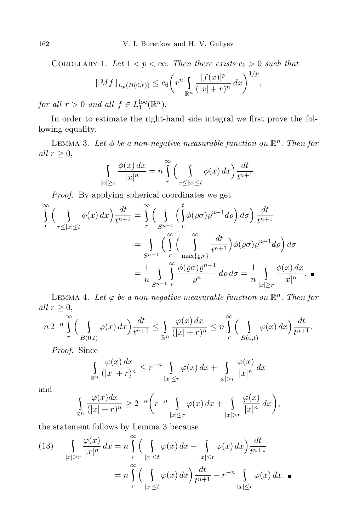COROLLARY 1. Let  $1 < p < \infty$ . Then there exists  $c_6 > 0$  such that

$$
||Mf||_{L_p(B(0,r))} \le c_6 \left( r^n \int_{\mathbb{R}^n} \frac{|f(x)|^p}{(|x|+r)^n} dx \right)^{1/p},
$$

*for all*  $r > 0$  *and all*  $f \in L_1^{\text{loc}}(\mathbb{R}^n)$ *.* 

In order to estimate the right-hand side integral we first prove the following equality.

LEMMA 3. Let  $\phi$  be a non-negative measurable function on  $\mathbb{R}^n$ . Then for *all*  $r \geq 0$ ,

$$
\int_{|x|\geq r} \frac{\phi(x) dx}{|x|^n} = n \int_{r}^{\infty} \Big(\int_{r \leq |x| \leq t} \phi(x) dx\Big) \frac{dt}{t^{n+1}}.
$$

*Proof.* By applying spherical coordinates we get

$$
\int_{r}^{\infty} \left( \int_{r \leq |x| \leq t} \phi(x) dx \right) \frac{dt}{t^{n+1}} = \int_{r}^{\infty} \left( \int_{S^{n-1}} \left( \int_{r}^{t} \phi(\varrho \sigma) \varrho^{n-1} d\varrho \right) d\sigma \right) \frac{dt}{t^{n+1}}
$$
\n
$$
= \int_{S^{n-1}} \left( \int_{r}^{\infty} \left( \int_{\max\{\varrho,r\}} \frac{dt}{t^{n+1}} \right) \phi(\varrho \sigma) \varrho^{n-1} d\varrho \right) d\sigma
$$
\n
$$
= \frac{1}{n} \int_{S^{n-1}}^{\infty} \int_{r}^{\infty} \frac{\phi(\varrho \sigma) \varrho^{n-1}}{\varrho^{n}} d\varrho d\sigma = \frac{1}{n} \int_{|x| \geq r} \frac{\phi(x) dx}{|x|^{n}}.
$$

LEMMA 4. Let  $\varphi$  be a non-negative measurable function on  $\mathbb{R}^n$ . Then for *all*  $r \geq 0$ ,

$$
n 2^{-n} \int\limits_r^{\infty} \Big( \int\limits_{B(0,t)} \varphi(x) \, dx \Big) \frac{dt}{t^{n+1}} \leq \int\limits_{\mathbb{R}^n} \frac{\varphi(x) \, dx}{(|x|+r)^n} \leq n \int\limits_r^{\infty} \Big( \int\limits_{B(0,t)} \varphi(x) \, dx \Big) \frac{dt}{t^{n+1}}.
$$

*Proof.* Since

$$
\int_{\mathbb{R}^n} \frac{\varphi(x) dx}{(|x|+r)^n} \le r^{-n} \int_{|x| \le r} \varphi(x) dx + \int_{|x|>r} \frac{\varphi(x)}{|x|^n} dx
$$

and

$$
\int_{\mathbb{R}^n} \frac{\varphi(x)dx}{(|x|+r)^n} \ge 2^{-n} \bigg( r^{-n} \int_{|x| \le r} \varphi(x) dx + \int_{|x|>r} \frac{\varphi(x)}{|x|^n} dx \bigg),
$$

the statement follows by Lemma 3 because

$$
(13) \qquad \int_{|x| \ge r} \frac{\varphi(x)}{|x|^n} dx = n \int_{r}^{\infty} \Big( \int_{|x| \le t} \varphi(x) dx - \int_{|x| \le r} \varphi(x) dx \Big) \frac{dt}{t^{n+1}}
$$

$$
= n \int_{r}^{\infty} \Big( \int_{|x| \le t} \varphi(x) dx \Big) \frac{dt}{t^{n+1}} - r^{-n} \int_{|x| \le r} \varphi(x) dx. \blacksquare
$$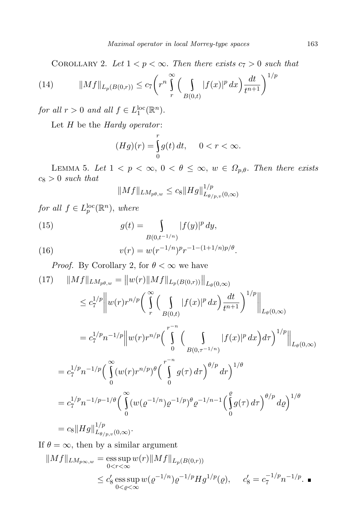COROLLARY 2. Let  $1 < p < \infty$ . Then there exists  $c_7 > 0$  such that

(14) 
$$
||Mf||_{L_p(B(0,r))} \le c_7 \left( r^n \int\limits_r^{\infty} \left( \int\limits_{B(0,t)} |f(x)|^p dx \right) \frac{dt}{t^{n+1}} \right)^{1/p}
$$

*for all*  $r > 0$  *and all*  $f \in L_1^{\text{loc}}(\mathbb{R}^n)$ *.* 

Let *H* be the *Hardy operator* :

$$
(Hg)(r) = \int_{0}^{r} g(t) dt, \quad 0 < r < \infty.
$$

LEMMA 5. Let  $1 < p < \infty$ ,  $0 < \theta \leq \infty$ ,  $w \in \Omega_{p,\theta}$ . Then there exists *c*<sup>8</sup> *>* 0 *such that*

$$
||Mf||_{LM_{p\theta,w}} \leq c_8||Hg||_{L_{\theta/p,v}(0,\infty)}^{1/p}
$$

*for all*  $f \in L_p^{\text{loc}}(\mathbb{R}^n)$ *, where* 

(15) 
$$
g(t) = \int_{B(0,t^{-1/n})} |f(y)|^p dy,
$$

(16) 
$$
v(r) = w(r^{-1/n})^p r^{-1-(1+1/n)p/\theta}.
$$

*Proof.* By Corollary 2, for  $\theta < \infty$  we have

$$
(17) \quad ||Mf||_{LM_{p\theta,w}} = ||w(r)||Mf||_{L_p(B(0,r))}||_{L_{\theta}(0,\infty)}
$$
\n
$$
\leq c_7^{1/p} ||w(r)r^{n/p} \bigg( \int_{r}^{\infty} \bigg( \int_{B(0,t)} |f(x)|^p dx \bigg) \frac{dt}{t^{n+1}} \bigg)^{1/p} ||_{L_{\theta}(0,\infty)}
$$
\n
$$
= c_7^{1/p} n^{-1/p} ||w(r)r^{n/p} \bigg( \int_{B(0,\tau^{-1/n})}^{\tau^{-n}} |f(x)|^p dx \bigg) d\tau \bigg)^{1/p} ||_{L_{\theta}(0,\infty)}
$$
\n
$$
= c_7^{1/p} n^{-1/p} \bigg( \int_{0}^{\infty} (w(r)r^{n/p})^{\theta} \bigg( \int_{0}^{\tau^{-n}} g(\tau) d\tau \bigg)^{\theta/p} dr \bigg)^{1/\theta}
$$
\n
$$
= c_7^{1/p} n^{-1/p-1/\theta} \bigg( \int_{0}^{\infty} (w(\varrho^{-1/n})\varrho^{-1/p})^{\theta} \varrho^{-1/n-1} \bigg( \int_{0}^{\varrho} g(\tau) d\tau \bigg)^{\theta/p} d\varrho \bigg)^{1/\theta}
$$
\n
$$
= c_8 ||Hg||_{L_{\theta/p,v}(0,\infty)}^{1/p}.
$$

If  $\theta = \infty$ , then by a similar argument

$$
||Mf||_{LM_{p\infty,w}} = \operatorname*{ess\,sup}_{0 < r < \infty} w(r)||Mf||_{L_p(B(0,r))}
$$
\n
$$
\leq c'_8 \operatorname*{ess\,sup}_{0 < \varrho < \infty} w(\varrho^{-1/n})\varrho^{-1/p} H g^{1/p}(\varrho), \quad c'_8 = c_7^{-1/p} n^{-1/p}. \blacksquare
$$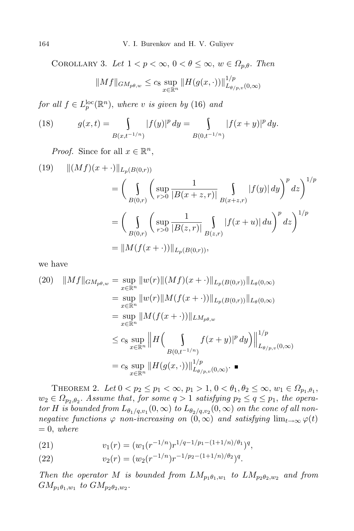COROLLARY 3. Let  $1 < p < \infty$ ,  $0 < \theta \leq \infty$ ,  $w \in \Omega_{p,\theta}$ . Then

$$
||Mf||_{GM_{p\theta,w}} \leq c_8 \sup_{x \in \mathbb{R}^n} ||H(g(x,\cdot))||_{L_{\theta/p,v}(0,\infty)}^{1/p}
$$

 $for \ all \ f \in L_p^{\text{loc}}(\mathbb{R}^n)$ *, where v is given by* (16) *and* 

(18) 
$$
g(x,t) = \int_{B(x,t^{-1/n})} |f(y)|^p dy = \int_{B(0,t^{-1/n})} |f(x+y)|^p dy.
$$

*Proof.* Since for all  $x \in \mathbb{R}^n$ ,

(19) 
$$
\| (Mf)(x + \cdot) \|_{L_p(B(0,r))}
$$
  
\n
$$
= \left( \int_{B(0,r)} \left( \sup_{r>0} \frac{1}{|B(x+z,r)|} \int_{B(x+z,r)} |f(y)| dy \right)^p dz \right)^{1/p}
$$
  
\n
$$
= \left( \int_{B(0,r)} \left( \sup_{r>0} \frac{1}{|B(z,r)|} \int_{B(z,r)} |f(x+u)| du \right)^p dz \right)^{1/p}
$$
  
\n
$$
= \| M(f(x + \cdot)) \|_{L_p(B(0,r))},
$$

we have

$$
(20) \quad ||Mf||_{GM_{p\theta,w}} = \sup_{x \in \mathbb{R}^n} ||w(r)||(Mf)(x + \cdot)||_{L_p(B(0,r))}||_{L_\theta(0,\infty)}
$$
  
\n
$$
= \sup_{x \in \mathbb{R}^n} ||w(r)||M(f(x + \cdot))||_{L_p(B(0,r))}||_{L_\theta(0,\infty)}
$$
  
\n
$$
= \sup_{x \in \mathbb{R}^n} ||M(f(x + \cdot))||_{LM_{p\theta,w}}
$$
  
\n
$$
\leq c_8 \sup_{x \in \mathbb{R}^n} ||H\left(\int_{B(0,t^{-1/n})} f(x + y)|^p dy\right)||_{L_{\theta/p,v}(0,\infty)}^{1/p}
$$
  
\n
$$
= c_8 \sup_{x \in \mathbb{R}^n} ||H(g(x, \cdot))||_{L_{\theta/p,v}(0,\infty)}^{1/p}.
$$

THEOREM 2. Let  $0 < p_2 \le p_1 < \infty$ ,  $p_1 > 1$ ,  $0 < \theta_1$ ,  $\theta_2 \le \infty$ ,  $w_1 \in \Omega_{p_1, \theta_1}$ ,  $w_2 \in \Omega_{p_2,\theta_2}$ . Assume that, for some  $q > 1$  satisfying  $p_2 \leq q \leq p_1$ , the operator H is bounded from  $L_{\theta_1/q, v_1}(0, \infty)$  to  $L_{\theta_2/q, v_2}(0, \infty)$  on the cone of all non*negative functions*  $\varphi$  *non-increasing on*  $(0, \infty)$  *and satisfying*  $\lim_{t\to\infty} \varphi(t)$  $= 0$ , *where* 

(21) 
$$
v_1(r) = (w_1(r^{-1/n})r^{1/q-1/p_1-(1+1/n)/\theta_1})^q,
$$

(22) 
$$
v_2(r) = (w_2(r^{-1/n})r^{-1/p_2-(1+1/n)/\theta_2})^q.
$$

*Then the operator M is bounded from*  $LM_{p_1\theta_1,w_1}$  *to*  $LM_{p_2\theta_2,w_2}$  *and from*  $GM_{p_1\theta_1,w_1}$  *to*  $GM_{p_2\theta_2,w_2}$ .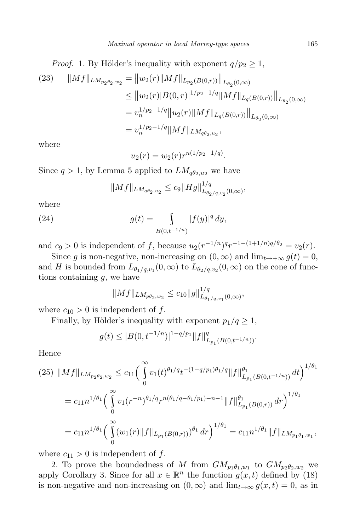*Proof.* 1. By Hölder's inequality with exponent  $q/p_2 \geq 1$ ,

(23) 
$$
||Mf||_{LM_{p_2\theta_2,w_2}} = ||w_2(r)||Mf||_{L_{p_2}(B(0,r))}||_{L_{\theta_2}(0,\infty)}
$$
  
\n
$$
\leq ||w_2(r)|B(0,r)|^{1/p_2-1/q}||Mf||_{L_q(B(0,r))}||_{L_{\theta_2}(0,\infty)}
$$
  
\n
$$
= v_n^{1/p_2-1/q}||u_2(r)||Mf||_{L_q(B(0,r))}||_{L_{\theta_2}(0,\infty)}
$$
  
\n
$$
= v_n^{1/p_2-1/q}||Mf||_{LM_{q\theta_2,u_2}},
$$

where

$$
u_2(r) = w_2(r)r^{n(1/p_2 - 1/q)}.
$$

Since  $q > 1$ , by Lemma 5 applied to  $LM_{q\theta_2,u_2}$  we have

$$
||Mf||_{LM_{q\theta_2,u_2}} \leq c_9||Hg||_{L_{\theta_2/q,v_2}(0,\infty)}^{1/q},
$$

where

(24) 
$$
g(t) = \int_{B(0,t^{-1/n})} |f(y)|^q dy,
$$

and  $c_9 > 0$  is independent of *f*, because  $u_2(r^{-1/n})^q r^{-1-(1+1/n)q/\theta_2} = v_2(r)$ .

Since *g* is non-negative, non-increasing on  $(0, \infty)$  and  $\lim_{t \to +\infty} g(t) = 0$ , and *H* is bounded from  $L_{\theta_1/q, v_1}(0, \infty)$  to  $L_{\theta_2/q, v_2}(0, \infty)$  on the cone of functions containing *g,* we have

$$
||Mf||_{LM_{p\theta_2,w_2}} \leq c_{10}||g||_{L_{\theta_1/q,v_1}(0,\infty)}^{1/q},
$$

where  $c_{10} > 0$  is independent of f.

Finally, by Hölder's inequality with exponent  $p_1/q \geq 1$ ,

$$
g(t) \le |B(0, t^{-1/n})|^{1-q/p_1} ||f||_{L_{p_1}(B(0, t^{-1/n}))}^q.
$$

Hence

$$
(25) \quad ||Mf||_{LM_{p_{2}\theta_{2},w_{2}}} \leq c_{11} \Big( \int_{0}^{\infty} v_{1}(t)^{\theta_{1}/q} t^{-(1-q/p_{1})\theta_{1}/q} ||f||_{L_{p_{1}}(B(0,t^{-1/n}))}^{\theta_{1}} dt \Big)^{1/\theta_{1}}
$$
  

$$
= c_{11} n^{1/\theta_{1}} \Big( \int_{0}^{\infty} v_{1}(r^{-n})^{\theta_{1}/q} r^{n(\theta_{1}/q-\theta_{1}/p_{1})-n-1} ||f||_{L_{p_{1}}(B(0,r))}^{\theta_{1}} dr \Big)^{1/\theta_{1}}
$$
  

$$
= c_{11} n^{1/\theta_{1}} \Big( \int_{0}^{\infty} (w_{1}(r)||f||_{L_{p_{1}}(B(0,r))})^{\theta_{1}} dr \Big)^{1/\theta_{1}} = c_{11} n^{1/\theta_{1}} ||f||_{LM_{p_{1}\theta_{1},w_{1}}},
$$

where  $c_{11} > 0$  is independent of f.

2. To prove the boundedness of *M* from  $GM_{p_1\theta_1,w_1}$  to  $GM_{p_2\theta_2,w_2}$  we apply Corollary 3. Since for all  $x \in \mathbb{R}^n$  the function  $g(x, t)$  defined by (18) is non-negative and non-increasing on  $(0, \infty)$  and  $\lim_{t\to\infty} g(x,t) = 0$ , as in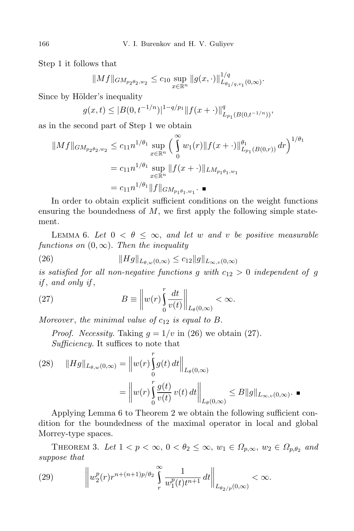Step 1 it follows that

$$
||Mf||_{GM_{p_2\theta_2,w_2}} \leq c_{10} \sup_{x \in \mathbb{R}^n} ||g(x, \cdot)||_{L_{\theta_1/q,v_1}(0,\infty)}^{1/q}.
$$

Since by Hölder's inequality

$$
g(x,t) \le |B(0,t^{-1/n})|^{1-q/p_1} \|f(x+\cdot)\|_{L_{p_1}(B(0,t^{-1/n}))}^q,
$$

as in the second part of Step 1 we obtain

$$
||Mf||_{GM_{p_2\theta_2,w_2}} \leq c_{11}n^{1/\theta_1} \sup_{x \in \mathbb{R}^n} \left( \int_0^\infty w_1(r) ||f(x+\cdot)||_{L_{p_1}(B(0,r))}^{\theta_1} dr \right)^{1/\theta_1}
$$
  
=  $c_{11}n^{1/\theta_1} \sup_{x \in \mathbb{R}^n} ||f(x+\cdot)||_{LM_{p_1\theta_1,w_1}}$   
=  $c_{11}n^{1/\theta_1} ||f||_{GM_{p_1\theta_1,w_1}} \cdot \blacksquare$ 

In order to obtain explicit sufficient conditions on the weight functions ensuring the boundedness of *M*, we first apply the following simple statement.

LEMMA 6. Let  $0 < \theta \leq \infty$ , and let w and v be positive measurable *functions on*  $(0, \infty)$ *. Then the inequality* 

(26) 
$$
||Hg||_{L_{\theta,w}(0,\infty)} \leq c_{12}||g||_{L_{\infty,v}(0,\infty)}
$$

*is satisfied for all non-negative functions g with*  $c_{12} > 0$  *independent of g if* , *and only if* ,

(27) 
$$
B \equiv \left\| w(r) \int_0^r \frac{dt}{v(t)} \right\|_{L_\theta(0,\infty)} < \infty.
$$

*Moreover* , *the minimal value of c*<sup>12</sup> *is equal to B.*

*Proof. Necessity.* Taking  $q = 1/v$  in (26) we obtain (27). *Sufficiency.* It suffices to note that

*r*

(28) 
$$
||Hg||_{L_{\theta,w}(0,\infty)} = ||w(r)\int_{0}^{r} g(t) dt||_{L_{\theta}(0,\infty)}
$$
  

$$
= ||w(r)\int_{0}^{r} \frac{g(t)}{v(t)} v(t) dt||_{L_{\theta}(0,\infty)} \leq B||g||_{L_{\infty,v}(0,\infty)}.
$$

Applying Lemma 6 to Theorem 2 we obtain the following sufficient condition for the boundedness of the maximal operator in local and global Morrey-type spaces.

THEOREM 3. Let  $1 < p < \infty$ ,  $0 < \theta_2 \leq \infty$ ,  $w_1 \in \Omega_{p,\infty}$ ,  $w_2 \in \Omega_{p,\theta_2}$  and *suppose that*

(29) 
$$
\left\|w_{2}^{p}(r)r^{n+(n+1)p/\theta_{2}}\int\limits_{r}^{\infty}\frac{1}{w_{1}^{p}(t)t^{n+1}}dt\right\|_{L_{\theta_{2}/p}(0,\infty)}<\infty.
$$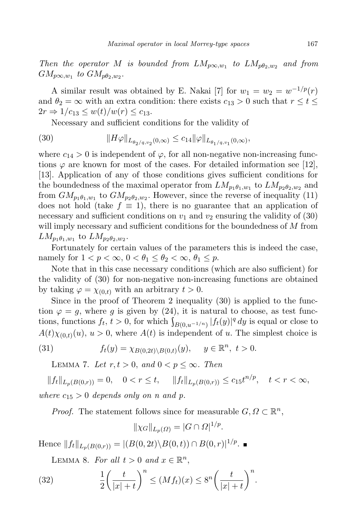*Then the operator M is bounded from*  $LM_{p\infty,w_1}$  *to*  $LM_{p\theta_2,w_2}$  *and from*  $GM_{p\infty,w_1}$  *to*  $GM_{p\theta_2,w_2}$ .

A similar result was obtained by E. Nakai [7] for  $w_1 = w_2 = w^{-1/p}(r)$ and  $\theta_2 = \infty$  with an extra condition: there exists  $c_{13} > 0$  such that  $r \le t \le$  $2r \Rightarrow 1/c_{13} \leq w(t)/w(r) \leq c_{13}.$ 

Necessary and sufficient conditions for the validity of

(30) 
$$
||H\varphi||_{L_{\theta_2/q,v_2}(0,\infty)} \leq c_{14} ||\varphi||_{L_{\theta_1/q,v_1}(0,\infty)},
$$

where  $c_{14} > 0$  is independent of  $\varphi$ , for all non-negative non-increasing functions  $\varphi$  are known for most of the cases. For detailed information see [12], [13]. Application of any of those conditions gives sufficient conditions for the boundedness of the maximal operator from  $LM_{p_1\theta_1,w_1}$  to  $LM_{p_2\theta_2,w_2}$  and from  $GM_{p_1\theta_1,w_1}$  to  $GM_{p_2\theta_2,w_2}$ . However, since the reverse of inequality (11) does not hold (take  $f \equiv 1$ ), there is no guarantee that an application of necessary and sufficient conditions on  $v_1$  and  $v_2$  ensuring the validity of  $(30)$ will imply necessary and sufficient conditions for the boundedness of *M* from  $LM_{p_1\theta_1,w_1}$  to  $LM_{p_2\theta_2,w_2}$ .

Fortunately for certain values of the parameters this is indeed the case, namely for  $1 < p < \infty$ ,  $0 < \theta_1 \leq \theta_2 < \infty$ ,  $\theta_1 \leq p$ .

Note that in this case necessary conditions (which are also sufficient) for the validity of (30) for non-negative non-increasing functions are obtained by taking  $\varphi = \chi_{(0,t)}$  with an arbitrary  $t > 0$ .

Since in the proof of Theorem 2 inequality (30) is applied to the function  $\varphi = g$ , where *g* is given by (24), it is natural to choose, as test functions, functions  $f_t$ ,  $t > 0$ , for which  $\int_{B(0, u^{-1/n})} |f_t(y)|^q dy$  is equal or close to  $A(t)\chi_{(0,t)}(u), u > 0$ , where  $A(t)$  is independent of *u*. The simplest choice is

(31) 
$$
f_t(y) = \chi_{B(0,2t) \setminus B(0,t)}(y), \quad y \in \mathbb{R}^n, t > 0.
$$

LEMMA 7. Let  $r, t > 0$ , and  $0 < p \leq \infty$ . Then

 $||f_t||_{L_p(B(0,r))} = 0, \quad 0 < r \le t, \quad ||f_t||_{L_p(B(0,r))} \le c_{15}t^{n/p}, \quad t < r < \infty,$ *where*  $c_{15} > 0$  *depends only on n and p.* 

*Proof.* The statement follows since for measurable  $G, \Omega \subset \mathbb{R}^n$ ,

$$
\|\chi_G\|_{L_p(\Omega)} = |G \cap \Omega|^{1/p}.
$$

Hence  $||f_t||_{L_p(B(0,r))} = |(B(0, 2t) \setminus B(0,t)) \cap B(0,r)|^{1/p}$ .

LEMMA 8. For all  $t > 0$  and  $x \in \mathbb{R}^n$ ,

(32) 
$$
\frac{1}{2} \left( \frac{t}{|x|+t} \right)^n \le (Mf_t)(x) \le 8^n \left( \frac{t}{|x|+t} \right)^n.
$$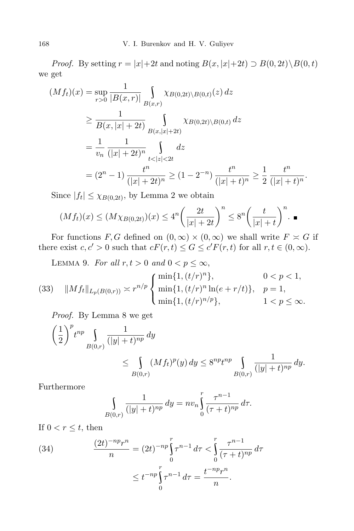*Proof.* By setting  $r = |x| + 2t$  and noting  $B(x, |x| + 2t) \supset B(0, 2t) \setminus B(0, t)$ we get

$$
(Mf_t)(x) = \sup_{r>0} \frac{1}{|B(x,r)|} \int_{B(x,r)} \chi_{B(0,2t)\backslash B(0,t)}(z) dz
$$
  
\n
$$
\geq \frac{1}{B(x,|x|+2t)} \int_{B(x,|x|+2t)} \chi_{B(0,2t)\backslash B(0,t)} dz
$$
  
\n
$$
= \frac{1}{v_n} \frac{1}{(|x|+2t)^n} \int_{t<|z|<2t} dz
$$
  
\n
$$
= (2^n - 1) \frac{t^n}{(|x|+2t)^n} \geq (1 - 2^{-n}) \frac{t^n}{(|x|+t)^n} \geq \frac{1}{2} \frac{t^n}{(|x|+t)^n}.
$$

Since  $|f_t| \leq \chi_{B(0,2t)}$ , by Lemma 2 we obtain

$$
(Mf_t)(x) \le (M\chi_{B(0,2t)})(x) \le 4^n \left(\frac{2t}{|x|+2t}\right)^n \le 8^n \left(\frac{t}{|x|+t}\right)^n.
$$

For functions *F*, *G* defined on  $(0, \infty) \times (0, \infty)$  we shall write  $F \times G$  if there exist  $c, c' > 0$  such that  $cF(r, t) \le G \le c'F(r, t)$  for all  $r, t \in (0, \infty)$ .

LEMMA 9. For all  $r, t > 0$  and  $0 < p \leq \infty$ ,

(33) 
$$
||Mf_t||_{L_p(B(0,r))} \asymp r^{n/p} \begin{cases} \min\{1, (t/r)^n\}, & 0 < p < 1, \\ \min\{1, (t/r)^n \ln(e + r/t)\}, & p = 1, \\ \min\{1, (t/r)^{n/p}\}, & 1 < p \le \infty. \end{cases}
$$

*Proof.* By Lemma 8 we get

$$
\left(\frac{1}{2}\right)^p t^{np} \int_{B(0,r)} \frac{1}{(|y|+t)^{np}} dy
$$
  
 
$$
\leq \int_{B(0,r)} (Mf_t)^p(y) dy \leq 8^{np} t^{np} \int_{B(0,r)} \frac{1}{(|y|+t)^{np}} dy.
$$

Furthermore

$$
\int_{B(0,r)} \frac{1}{(|y|+t)^{np}} \, dy = n v_n \int_0^r \frac{\tau^{n-1}}{(\tau+t)^{np}} \, d\tau.
$$

If  $0 < r \leq t$ , then

(34) 
$$
\frac{(2t)^{-np}r^n}{n} = (2t)^{-np} \int_0^r \tau^{n-1} d\tau < \int_0^r \frac{\tau^{n-1}}{(\tau+t)^{np}} d\tau \leq t^{-np} \int_0^r \tau^{n-1} d\tau = \frac{t^{-np}r^n}{n}.
$$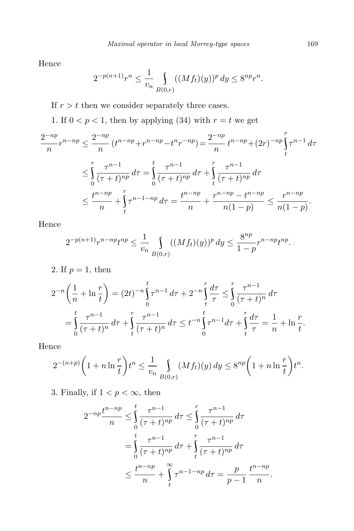Hence

$$
2^{-p(n+1)}r^n \le \frac{1}{v_n} \int_{B(0,r)} ((Mf_t)(y))^p dy \le 8^{np}r^n.
$$

If  $r > t$  then we consider separately three cases.

1. If  $0 < p < 1$ , then by applying (34) with  $r = t$  we get

$$
\frac{2^{-np}}{n}r^{n-np} \le \frac{2^{-np}}{n}\left(t^{n-np} + r^{n-np} - t^n r^{-np}\right) = \frac{2^{-np}}{n}t^{n-np} + (2r)^{-np}\int_t^r \tau^{n-1} d\tau
$$
  

$$
\le \int_0^r \frac{\tau^{n-1}}{(\tau+t)^{np}} d\tau = \int_0^t \frac{\tau^{n-1}}{(\tau+t)^{np}} d\tau + \int_t^r \frac{\tau^{n-1}}{(\tau+t)^{np}} d\tau
$$
  

$$
\le \frac{t^{n-np}}{n} + \int_t^r \tau^{n-1-np} d\tau = \frac{t^{n-np}}{n} + \frac{r^{n-np} - t^{n-np}}{n(1-p)} \le \frac{r^{n-np}}{n(1-p)}.
$$

Hence

$$
2^{-p(n+1)}r^{n-np}t^{np} \le \frac{1}{v_n} \int_{B(0,r)} ((Mf_t)(y))^p dy \le \frac{8^{np}}{1-p}r^{n-np}t^{np}.
$$

2. If  $p = 1$ , then

$$
2^{-n}\left(\frac{1}{n} + \ln\frac{r}{t}\right) = (2t)^{-n}\int_{0}^{t} \tau^{n-1} d\tau + 2^{-n}\int_{t}^{r} \frac{d\tau}{\tau} \le \int_{0}^{r} \frac{\tau^{n-1}}{(\tau + t)^{n}} d\tau
$$
  
= 
$$
\int_{0}^{t} \frac{\tau^{n-1}}{(\tau + t)^{n}} d\tau + \int_{t}^{r} \frac{\tau^{n-1}}{(\tau + t)^{n}} d\tau \le t^{-n}\int_{0}^{t} \tau^{n-1} d\tau + \int_{t}^{r} \frac{d\tau}{\tau} = \frac{1}{n} + \ln\frac{r}{t}.
$$

Hence

$$
2^{-(n+p)}\bigg(1+n\ln\frac{r}{t}\bigg)t^n \le \frac{1}{v_n}\int_{B(0,r)} (Mf_t)(y)\,dy \le 8^{np}\bigg(1+n\ln\frac{r}{t}\bigg)t^n.
$$

3. Finally, if  $1 < p < \infty$ , then

$$
2^{-np} \frac{t^{n-np}}{n} \le \int_0^t \frac{\tau^{n-1}}{(\tau+t)^{np}} d\tau \le \int_0^r \frac{\tau^{n-1}}{(\tau+t)^{np}} d\tau
$$
  
= 
$$
\int_0^t \frac{\tau^{n-1}}{(\tau+t)^{np}} d\tau + \int_t^r \frac{\tau^{n-1}}{(\tau+t)^{np}} d\tau
$$
  

$$
\le \frac{t^{n-np}}{n} + \int_t^\infty \tau^{n-1-np} d\tau = \frac{p}{p-1} \frac{t^{n-np}}{n}.
$$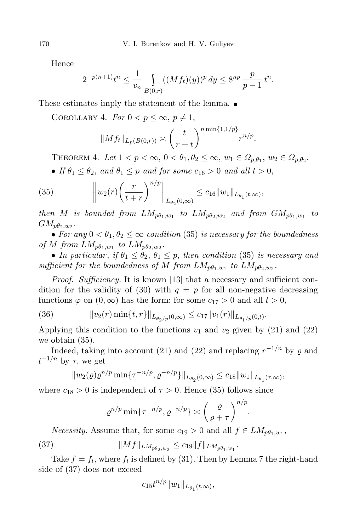Hence

$$
2^{-p(n+1)}t^n \le \frac{1}{v_n} \int_{B(0,r)} ((Mf_t)(y))^p dy \le 8^{np} \frac{p}{p-1} t^n.
$$

These estimates imply the statement of the lemma.

COROLLARY 4. *For*  $0 < p \leq \infty$ ,  $p \neq 1$ ,

$$
||Mf_t||_{L_p(B(0,r))} \asymp \left(\frac{t}{r+t}\right)^{n \min\{1,1/p\}} r^{n/p}.
$$

THEOREM 4. Let  $1 < p < \infty$ ,  $0 < \theta_1, \theta_2 \leq \infty$ ,  $w_1 \in \Omega_{p,\theta_1}$ ,  $w_2 \in \Omega_{p,\theta_2}$ .

• *If*  $\theta_1 \leq \theta_2$ , and  $\theta_1 \leq p$  *and for some*  $c_{16} > 0$  *and all*  $t > 0$ ,

(35) 
$$
\left\| w_2(r) \left( \frac{r}{t+r} \right)^{n/p} \right\|_{L_{\theta_2}(0,\infty)} \leq c_{16} \|w_1\|_{L_{\theta_1}(t,\infty)},
$$

*then M is bounded from*  $LM_{p\theta_1,w_1}$  *to*  $LM_{p\theta_2,w_2}$  *and from*  $GM_{p\theta_1,w_1}$  *to*  $GM_{p\theta_2,w_2}$ .

• For any  $0 < \theta_1, \theta_2 \leq \infty$  condition (35) is necessary for the boundedness *of M from*  $LM_{p\theta_1,w_1}$  *to*  $LM_{p\theta_2,w_2}$ .

• *In particular, if*  $\theta_1 \leq \theta_2$ ,  $\theta_1 \leq p$ , *then condition* (35) *is necessary and*  $sufficient$  *for the boundedness of M from*  $LM_{p\theta_1,w_1}$  *to*  $LM_{p\theta_2,w_2}$ *.* 

*Proof. Sufficiency.* It is known [13] that a necessary and sufficient condition for the validity of (30) with  $q = p$  for all non-negative decreasing functions  $\varphi$  on  $(0, \infty)$  has the form: for some  $c_{17} > 0$  and all  $t > 0$ ,

(36) 
$$
||v_2(r)\min\{t,r\}||_{L_{\theta_2/p}(0,\infty)} \leq c_{17}||v_1(r)||_{L_{\theta_1/p}(0,t)}.
$$

Applying this condition to the functions  $v_1$  and  $v_2$  given by (21) and (22) we obtain (35).

Indeed, taking into account (21) and (22) and replacing  $r^{-1/n}$  by  $\varrho$  and *t <sup>−</sup>*1*/n* by *τ,* we get

$$
||w_2(\varrho)\varrho^{n/p}\min\{\tau^{-n/p},\varrho^{-n/p}\}\|_{L_{\theta_2}(0,\infty)}\leq c_{18}||w_1\|_{L_{\theta_1}(\tau,\infty)},
$$

where  $c_{18} > 0$  is independent of  $\tau > 0$ . Hence (35) follows since

$$
\varrho^{n/p} \min\{\tau^{-n/p}, \varrho^{-n/p}\} \asymp \left(\frac{\varrho}{\varrho+\tau}\right)^{n/p}
$$

*.*

*Necessity.* Assume that, for some  $c_{19} > 0$  and all  $f \in LM_{p\theta_1,w_1}$ ,

(37) 
$$
||Mf||_{LM_{p\theta_2,w_2}} \leq c_{19}||f||_{LM_{p\theta_1,w_1}}.
$$

Take  $f = f_t$ , where  $f_t$  is defined by (31). Then by Lemma 7 the right-hand side of (37) does not exceed

$$
c_{15}t^{n/p}||w_1||_{L_{\theta_1}(t,\infty)},
$$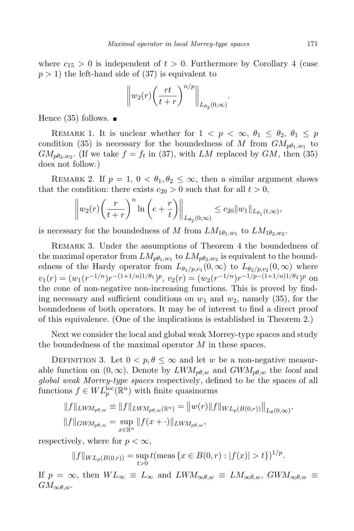where  $c_{15} > 0$  is independent of  $t > 0$ . Furthermore by Corollary 4 (case  $p > 1$ ) the left-hand side of (37) is equivalent to

$$
\left\|w_2(r)\left(\frac{rt}{t+r}\right)^{n/p}\right\|_{L_{\theta_2}(0,\infty)}.
$$

Hence  $(35)$  follows.  $\blacksquare$ 

REMARK 1. It is unclear whether for  $1 < p < \infty$ ,  $\theta_1 \leq \theta_2$ ,  $\theta_1 \leq p$ condition (35) is necessary for the boundedness of *M* from  $GM_{p\theta_1,w_1}$  to  $GM_{p\theta_2,w_2}$ . (If we take  $f = f_t$  in (37), with *LM* replaced by *GM*, then (35) does not follow.)

REMARK 2. If  $p = 1$ ,  $0 < \theta_1, \theta_2 \leq \infty$ , then a similar argument shows that the condition: there exists  $c_{20} > 0$  such that for all  $t > 0$ ,

$$
\left\|w_2(r)\left(\frac{r}{t+r}\right)^n\ln\left(e+\frac{r}{t}\right)\right\|_{L_{\theta_2}(0,\infty)} \leq c_{20}\|w_1\|_{L_{\theta_1}(t,\infty)},
$$

is necessary for the boundedness of *M* from  $LM_{1\theta_1,w_1}$  to  $LM_{1\theta_2,w_2}$ .

REMARK 3. Under the assumptions of Theorem 4 the boundedness of the maximal operator from  $LM_{p\theta_1,w_1}$  to  $LM_{p\theta_2,w_2}$  is equivalent to the boundedness of the Hardy operator from  $L_{\theta_1/p, v_1}(0, \infty)$  to  $L_{\theta_2/p, v_2}(0, \infty)$  where  $v_1(r) = (w_1(r^{-1/n})r^{-(1+1/n)1/\theta_1})^p$ ,  $v_2(r) = (w_2(r^{-1/n})r^{-1/p-(1+1/n)1/\theta_2})^p$  on the cone of non-negative non-increasing functions. This is proved by finding necessary and sufficient conditions on  $w_1$  and  $w_2$ , namely (35), for the boundedness of both operators. It may be of interest to find a direct proof of this equivalence. (One of the implications is established in Theorem 2.)

Next we consider the local and global weak Morrey-type spaces and study the boundedness of the maximal operator *M* in these spaces.

DEFINITION 3. Let  $0 < p, \theta \leq \infty$  and let *w* be a non-negative measurable function on  $(0, \infty)$ . Denote by  $LWM_{p\theta,w}$  and  $GWM_{p\theta,w}$  the *local* and *global weak Morrey-type spaces* respectively, defined to be the spaces of all functions  $f \in WL_p^{\text{loc}}(\mathbb{R}^n)$  with finite quasinorms

$$
||f||_{LWM_{p\theta,w}} \equiv ||f||_{LWM_{p\theta,w}} (\mathbb{R}^n) = ||w(r)||f||_{WL_p(B(0,r))} ||_{L_{\theta}(0,\infty)},
$$
  

$$
||f||_{GWM_{p\theta,w}} = \sup_{x \in \mathbb{R}^n} ||f(x+\cdot)||_{LWM_{p\theta,w}},
$$

respectively, where for  $p < \infty$ ,

$$
||f||_{WL_p(B(0,r))} = \sup_{t>0} t(\text{meas } \{x \in B(0,r) : |f(x)| > t\})^{1/p}.
$$

If  $p = \infty$ , then  $WL_{\infty} \equiv L_{\infty}$  and  $LWM_{\infty} \theta, w \equiv LM_{\infty} \theta, w$ ,  $GWM_{\infty} \theta, w \equiv$  $GM_{\infty\theta,w}$ .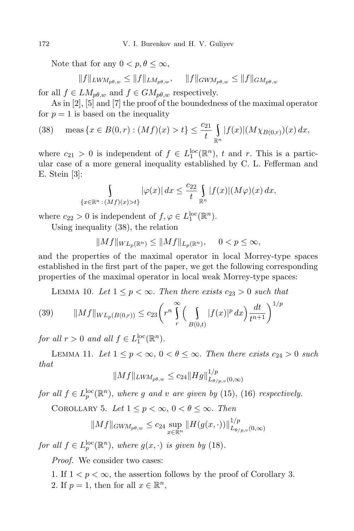Note that for any  $0 < p, \theta < \infty$ ,

$$
||f||_{LWM_{p\theta,w}} \le ||f||_{LM_{p\theta,w}}, \quad ||f||_{GWM_{p\theta,w}} \le ||f||_{GM_{p\theta,w}}
$$

for all  $f \in LM_{p\theta,w}$  and  $f \in GM_{p\theta,w}$  respectively.

As in [2], [5] and [7] the proof of the boundedness of the maximal operator for  $p = 1$  is based on the inequality

(38) 
$$
\text{meas } \{x \in B(0,r) : (Mf)(x) > t\} \le \frac{c_{21}}{t} \int_{\mathbb{R}^n} |f(x)| (M \chi_{B(0,r)})(x) \, dx,
$$

where  $c_{21} > 0$  is independent of  $f \in L_1^{\text{loc}}(\mathbb{R}^n)$ ,  $t$  and  $r$ . This is a particular case of a more general inequality established by C. L. Fefferman and E. Stein [3]:

$$
\int_{\{x \in \mathbb{R}^n : (Mf)(x) > t\}} |\varphi(x)| \, dx \le \frac{c_{22}}{t} \int_{\mathbb{R}^n} |f(x)| \big(M\varphi\big)(x) \, dx,
$$

where  $c_{22} > 0$  is independent of  $f, \varphi \in L_1^{\text{loc}}(\mathbb{R}^n)$ .

Using inequality (38), the relation

$$
||Mf||_{WL_p(\mathbb{R}^n)} \le ||Mf||_{L_p(\mathbb{R}^n)}, \quad 0 < p \le \infty,
$$

and the properties of the maximal operator in local Morrey-type spaces established in the first part of the paper, we get the following corresponding properties of the maximal operator in local weak Morrey-type spaces:

LEMMA 10. Let  $1 \leq p < \infty$ . Then there exists  $c_{23} > 0$  such that

(39) 
$$
||Mf||_{WL_p(B(0,r))} \leq c_{23} \left( r^n \int\limits_r^{\infty} \left( \int\limits_{B(0,t)} |f(x)|^p dx \right) \frac{dt}{t^{n+1}} \right)^{1/p}
$$

*for all*  $r > 0$  *and all*  $f \in L_1^{\text{loc}}(\mathbb{R}^n)$ *.* 

LEMMA 11. Let  $1 \leq p < \infty$ ,  $0 < \theta \leq \infty$ . Then there exists  $c_{24} > 0$  such *that*

$$
||Mf||_{LW M_{p\theta,w}} \leq c_{24} ||Hg||_{L_{\theta/p,v}(0,\infty)}^{1/p}
$$

*for* all  $f \in L_p^{\text{loc}}(\mathbb{R}^n)$ , where g and v are given by (15), (16) respectively.

COROLLARY 5. Let  $1 \leq p < \infty$ ,  $0 < \theta \leq \infty$ . Then

$$
||Mf||_{GWM_{p\theta,w}} \leq c_{24} \sup_{x \in \mathbb{R}^n} ||H(g(x, \cdot))||_{L_{\theta/p,v}(0,\infty)}^{1/p}
$$

*for* all  $f \in L_p^{\text{loc}}(\mathbb{R}^n)$ *, where*  $g(x, \cdot)$  *is given by* (18)*.* 

*Proof.* We consider two cases:

1. If  $1 < p < \infty$ , the assertion follows by the proof of Corollary 3. 2. If  $p = 1$ , then for all  $x \in \mathbb{R}^n$ ,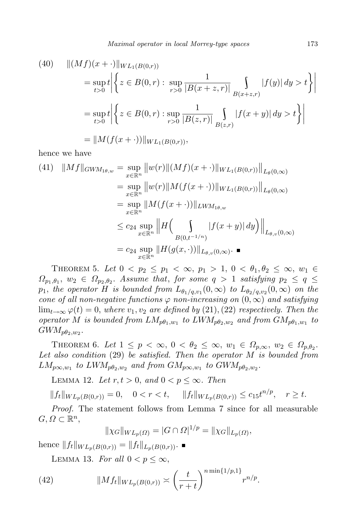(40) 
$$
\| (Mf)(x + \cdot) \|_{WL_1(B(0,r))}
$$
  
\n
$$
= \sup_{t>0} t \left| \left\{ z \in B(0,r) : \sup_{r>0} \frac{1}{|B(x+z,r)|} \int_{B(x+z,r)} |f(y)| dy > t \right\} \right|
$$
  
\n
$$
= \sup_{t>0} t \left| \left\{ z \in B(0,r) : \sup_{r>0} \frac{1}{|B(z,r)|} \int_{B(z,r)} |f(x+y)| dy > t \right\} \right|
$$
  
\n
$$
= \| M(f(x + \cdot)) \|_{WL_1(B(0,r))},
$$

hence we have

$$
(41) \quad ||Mf||_{GWM_{1\theta,w}} = \sup_{x \in \mathbb{R}^n} ||w(r)||(Mf)(x + \cdot)||_{WL_1(B(0,r))}||_{L_{\theta}(0,\infty)}
$$
  
\n
$$
= \sup_{x \in \mathbb{R}^n} ||w(r)||M(f(x + \cdot))||_{WL_1(B(0,r))}||_{L_{\theta}(0,\infty)}
$$
  
\n
$$
= \sup_{x \in \mathbb{R}^n} ||M(f(x + \cdot))||_{LWM_{1\theta,w}}
$$
  
\n
$$
\leq c_{24} \sup_{x \in \mathbb{R}^n} ||H\left(\int_{B(0,t^{-1/n})} |f(x + y)| dy\right) ||_{L_{\theta,v}(0,\infty)}
$$
  
\n
$$
= c_{24} \sup_{x \in \mathbb{R}^n} ||H(g(x, \cdot))||_{L_{\theta,v}(0,\infty)}.
$$

THEOREM 5. Let  $0 < p_2 \leq p_1 < \infty$ ,  $p_1 > 1$ ,  $0 < \theta_1, \theta_2 \leq \infty$ ,  $w_1 \in$  $\Omega_{p_1,\theta_1}, w_2 \in \Omega_{p_2,\theta_2}$ . Assume that, for some  $q > 1$  satisfying  $p_2 \leq q \leq$  $p_1$ *, the operator H is bounded from*  $L_{\theta_1/q, v_1}(0, \infty)$  *to*  $L_{\theta_2/q, v_2}(0, \infty)$  *on the cone of all non-negative functions*  $\varphi$  *non-increasing on*  $(0, \infty)$  *and satisfying*  $\lim_{t\to\infty} \varphi(t) = 0$ , where  $v_1, v_2$  are defined by (21), (22) respectively. Then the *operator M is bounded from*  $LM_{p\theta_1,w_1}$  *to*  $LWM_{p\theta_2,w_2}$  *and from*  $GM_{p\theta_1,w_1}$  *to*  $GWM_{p\theta_2,w_2}.$ 

THEOREM 6. Let  $1 \leq p < \infty$ ,  $0 < \theta_2 \leq \infty$ ,  $w_1 \in \Omega_{p,\infty}$ ,  $w_2 \in \Omega_{p,\theta_2}$ . *Let also condition* (29) *be satisfied. Then the operator M is bounded from*  $LM_{p\infty,w_1}$  *to*  $LWM_{p\theta_2,w_2}$  *and from*  $GM_{p\infty,w_1}$  *to*  $GWM_{p\theta_2,w_2}$ *.* 

LEMMA 12. Let  $r, t > 0$ , and  $0 < p \leq \infty$ . Then

 $||f_t||_{WL_p(B(0,r))} = 0, \quad 0 < r < t, \quad ||f_t||_{WL_p(B(0,r))} \leq c_{15}t^{n/p}, \quad r \geq t.$ 

*Proof.* The statement follows from Lemma 7 since for all measurable  $G, \Omega \subset \mathbb{R}^n$ ,

$$
||\chi_G||_{WL_p(\Omega)} = |G \cap \Omega|^{1/p} = ||\chi_G||_{L_p(\Omega)},
$$

hence  $||f_t||_{WL_p(B(0,r))} = ||f_t||_{L_p(B(0,r))}$ .

LEMMA 13. For all  $0 < p \leq \infty$ ,

(42) 
$$
||Mf_t||_{WL_p(B(0,r))} \asymp \left(\frac{t}{r+t}\right)^{n \min\{1/p,1\}} r^{n/p}.
$$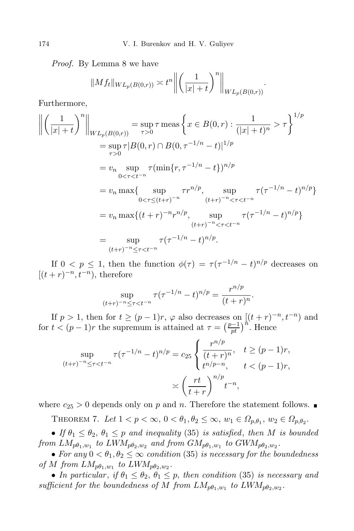*Proof.* By Lemma 8 we have

$$
||Mf_t||_{WL_p(B(0,r))} \asymp t^n \left\| \left( \frac{1}{|x|+t} \right)^n \right\|_{WL_p(B(0,r))}.
$$

Furthermore,

$$
\left\| \left( \frac{1}{|x|+t} \right)^n \right\|_{WL_p(B(0,r))} = \sup_{\tau > 0} \tau \operatorname{meas} \left\{ x \in B(0,r) : \frac{1}{(|x|+t)^n} > \tau \right\}^{1/p}
$$
  
\n
$$
= \sup_{\tau > 0} \tau |B(0,r) \cap B(0,\tau^{-1/n} - t)|^{1/p}
$$
  
\n
$$
= v_n \sup_{0 < \tau < t^{-n}} \tau (\min\{r, \tau^{-1/n} - t\})^{n/p}
$$
  
\n
$$
= v_n \max\{ \sup_{0 < \tau \le (t+r)^{-n}} \tau r^{n/p}, \sup_{(t+r)^{-n} < \tau < t^{-n}} \tau (\tau^{-1/n} - t)^{n/p} \}
$$
  
\n
$$
= v_n \max\{ (t+r)^{-n} r^{n/p}, \sup_{(t+r)^{-n} < \tau < t^{-n}} \tau (\tau^{-1/n} - t)^{n/p} \}
$$
  
\n
$$
= \sup_{(t+r)^{-n} \le \tau < t^{-n}} \tau (\tau^{-1/n} - t)^{n/p}.
$$

If  $0 \leq p \leq 1$ , then the function  $\phi(\tau) = \tau(\tau^{-1/n} - t)^{n/p}$  decreases on  $[(t + r)^{-n}, t^{-n})$ , therefore

$$
\sup_{(t+r)^{-n} \le \tau < t^{-n}} \tau(\tau^{-1/n} - t)^{n/p} = \frac{r^{n/p}}{(t+r)^n}.
$$

If  $p > 1$ , then for  $t \geq (p-1)r$ ,  $\varphi$  also decreases on  $[(t + r)^{-n}, t^{-n}]$  and for  $t < (p-1)r$  the supremum is attained at  $\tau = \left(\frac{p-1}{pt}\right)^{\hat{n}}$ . Hence

$$
\sup_{(t+r)^{-n} \le \tau < t^{-n}} \tau(\tau^{-1/n} - t)^{n/p} = c_{25} \begin{cases} \frac{r^{n/p}}{(t+r)^n}, & t \ge (p-1)r, \\ t^{n/p-n}, & t < (p-1)r, \end{cases}
$$
\n
$$
\asymp \left(\frac{rt}{t+r}\right)^{n/p} t^{-n},
$$

where  $c_{25} > 0$  depends only on p and n. Therefore the statement follows.

THEOREM 7. Let  $1 < p < \infty$ ,  $0 < \theta_1, \theta_2 \leq \infty$ ,  $w_1 \in \Omega_{p,\theta_1}$ ,  $w_2 \in \Omega_{p,\theta_2}$ .

• *If*  $\theta_1 \leq \theta_2$ ,  $\theta_1 \leq p$  *and inequality* (35) *is satisfied*, *then M is bounded from*  $LM_{p\theta_1,w_1}$  *to*  $LWM_{p\theta_2,w_2}$  *and from*  $GM_{p\theta_1,w_1}$  *to*  $GWM_{p\theta_2,w_2}$ *.* 

• For any  $0 < \theta_1, \theta_2 \leq \infty$  condition (35) is necessary for the boundedness *of M from*  $LM_{p\theta_1,w_1}$  *to*  $LWM_{p\theta_2,w_2}$ .

• *In particular, if*  $\theta_1 \leq \theta_2$ ,  $\theta_1 \leq p$ , *then condition* (35) *is necessary and* sufficient for the boundedness of M from  $LM_{p\theta_1,w_1}$  to  $LWM_{p\theta_2,w_2}$ .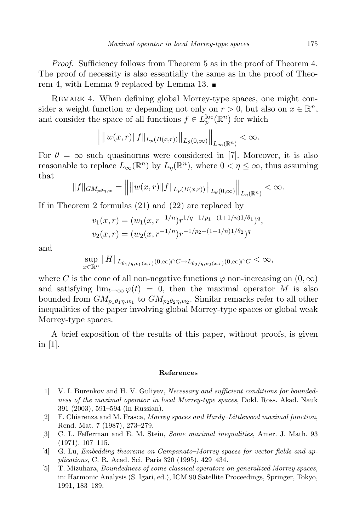*Proof.* Sufficiency follows from Theorem 5 as in the proof of Theorem 4. The proof of necessity is also essentially the same as in the proof of Theorem 4, with Lemma 9 replaced by Lemma 13.

Remark 4. When defining global Morrey-type spaces, one might consider a weight function *w* depending not only on  $r > 0$ , but also on  $x \in \mathbb{R}^n$ , and consider the space of all functions  $f \in L_p^{\text{loc}}(\mathbb{R}^n)$  for which

$$
\Big\|\big\|w(x,r)\|f\|_{L_p(B(x,r))}\Big\|_{L_{\theta}(0,\infty)}\Big\|_{L_{\infty}(\mathbb{R}^n)}<\infty.
$$

For  $\theta = \infty$  such quasinorms were considered in [7]. Moreover, it is also reasonable to replace  $L_{\infty}(\mathbb{R}^n)$  by  $L_{\eta}(\mathbb{R}^n)$ , where  $0 < \eta \leq \infty$ , thus assuming that

$$
||f||_{GM_{p\theta\eta,w}} = ||||w(x,r)||f||_{L_p(B(x,r))}||_{L_{\theta}(0,\infty)}||_{L_{\eta}(\mathbb{R}^n)} < \infty.
$$

If in Theorem 2 formulas (21) and (22) are replaced by

$$
v_1(x,r) = (w_1(x, r^{-1/n})r^{1/q-1/p_1-(1+1/n)1/\theta_1})^q,
$$
  

$$
v_2(x,r) = (w_2(x, r^{-1/n})r^{-1/p_2-(1+1/n)1/\theta_2})^q
$$

and

$$
\sup_{x \in \mathbb{R}^n} \|H\|_{L_{\theta_1/q, v_1(x, r)}(0, \infty) \cap C \to L_{\theta_2/q, v_2(x, r)}(0, \infty) \cap C} < \infty,
$$

where *C* is the cone of all non-negative functions  $\varphi$  non-increasing on  $(0, \infty)$ and satisfying  $\lim_{t\to\infty} \varphi(t) = 0$ , then the maximal operator M is also bounded from  $GM_{p_1\theta_1\eta,w_1}$  to  $GM_{p_2\theta_2\eta,w_2}$ . Similar remarks refer to all other inequalities of the paper involving global Morrey-type spaces or global weak Morrey-type spaces.

A brief exposition of the results of this paper, without proofs, is given in [1].

## **References**

- [1] V. I. Burenkov and H. V. Guliyev, *Necessary and sufficient conditions for boundedness of the maximal operator in local Morrey-type spaces*, Dokl. Ross. Akad. Nauk 391 (2003), 591–594 (in Russian).
- [2] F. Chiarenza and M. Frasca, *Morrey spaces and Hardy–Littlewood maximal function*, Rend. Mat. 7 (1987), 273–279.
- [3] C. L. Fefferman and E. M. Stein, *Some maximal inequalities*, Amer. J. Math. 93 (1971), 107–115.
- [4] G. Lu, *Embedding theorems on Campanato–Morrey spaces for vector fields and applications*, C. R. Acad. Sci. Paris 320 (1995), 429–434.
- [5] T. Mizuhara, *Boundedness of some classical operators on generalized Morrey spaces*, in: Harmonic Analysis (S. Igari, ed.), ICM 90 Satellite Proceedings, Springer, Tokyo, 1991, 183–189.